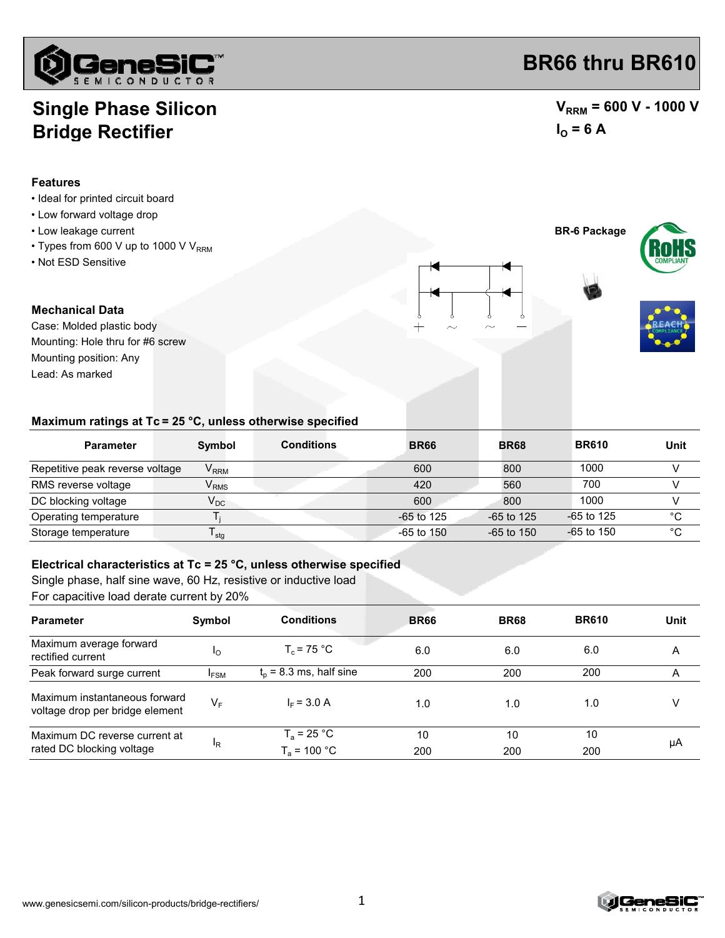

## **Single Phase Silicon Bridge Rectifier**

### **Features**

- Ideal for printed circuit board
- Low forward voltage drop
- Low leakage current **BR-6 Package**
- Types from 600 V up to 1000 V  $V_{RRM}$
- Not ESD Sensitive

#### **Mechanical Data**

Case: Molded plastic body Mounting position: Any Mounting: Hole thru for #6 screw Lead: As marked

## **BR66 thru BR610**

### $V_{RRM}$  = 600 V - 1000 V  $I_{\text{O}} = 6 \text{ A}$





### **Maximum ratings at Tc = 25 °C, unless otherwise specified**

| <b>Parameter</b>                | Symbol                      | <b>Conditions</b> | <b>BR66</b>    | <b>BR68</b>  | <b>BR610</b> | Unit        |
|---------------------------------|-----------------------------|-------------------|----------------|--------------|--------------|-------------|
| Repetitive peak reverse voltage | $\mathsf{V}_{\mathsf{RRM}}$ |                   | 600            | 800          | 1000         |             |
| RMS reverse voltage             | $\mathsf{V}_{\mathsf{RMS}}$ |                   | 420            | 560          | 700          |             |
| DC blocking voltage             | $V_{DC}$                    |                   | 600            | 800          | 1000         |             |
| Operating temperature           |                             |                   | $-65$ to 125   | $-65$ to 125 | $-65$ to 125 | °C          |
| Storage temperature             | <sup>I</sup> stq            |                   | $-65$ to $150$ | $-65$ to 150 | $-65$ to 150 | $^{\circ}C$ |

#### **Electrical characteristics at Tc = 25 °C, unless otherwise specified**

Single phase, half sine wave, 60 Hz, resistive or inductive load

For capacitive load derate current by 20%

| <b>Parameter</b>                                                 | Symbol      | <b>Conditions</b>               | <b>BR66</b> | <b>BR68</b> | <b>BR610</b> | Unit |
|------------------------------------------------------------------|-------------|---------------------------------|-------------|-------------|--------------|------|
| Maximum average forward<br>rectified current                     | Ιo          | $T_c$ = 75 °C                   | 6.0         | 6.0         | 6.0          | Α    |
| Peak forward surge current                                       | <b>IFSM</b> | $t_0$ = 8.3 ms, half sine       | 200         | 200         | 200          | Α    |
| Maximum instantaneous forward<br>voltage drop per bridge element | $V_F$       | $I_F = 3.0 A$                   | 1.0         | 1.0         | 1.0          | V    |
| Maximum DC reverse current at<br>rated DC blocking voltage       | 'R          | $T_a$ = 25 °C<br>$T_a$ = 100 °C | 10<br>200   | 10<br>200   | 10<br>200    | μA   |

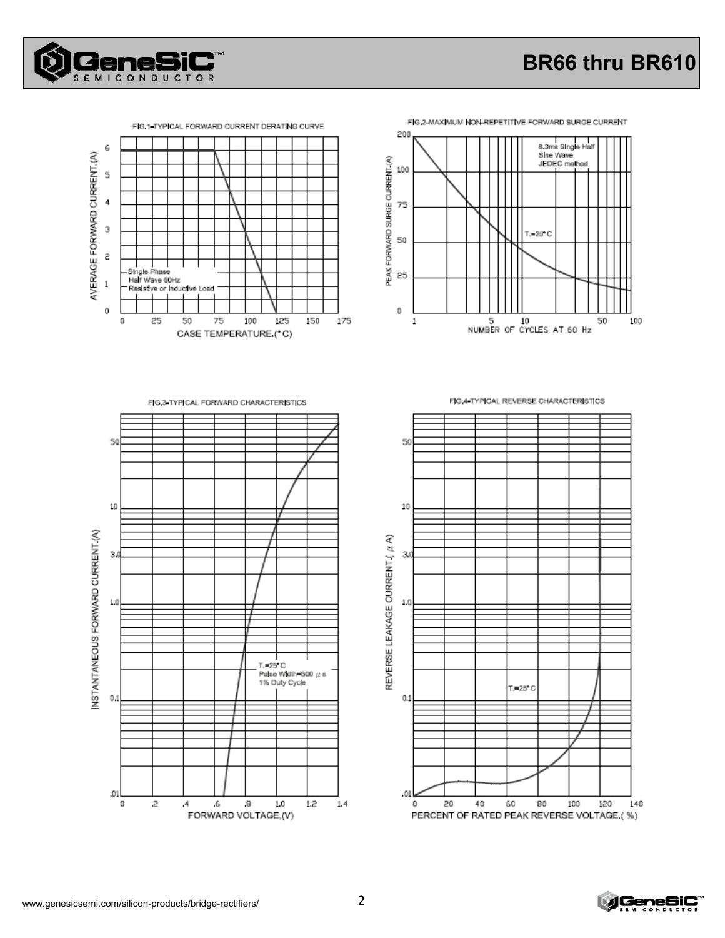

# BR66 thru BR610





FIG.2-MAXIMUM NON-REPETITIVE FORWARD SURGE CURRENT

FIG.3 TYPICAL FORWARD CHARACTERISTICS





FIG 4 TYPICAL REVERSE CHARACTERISTICS